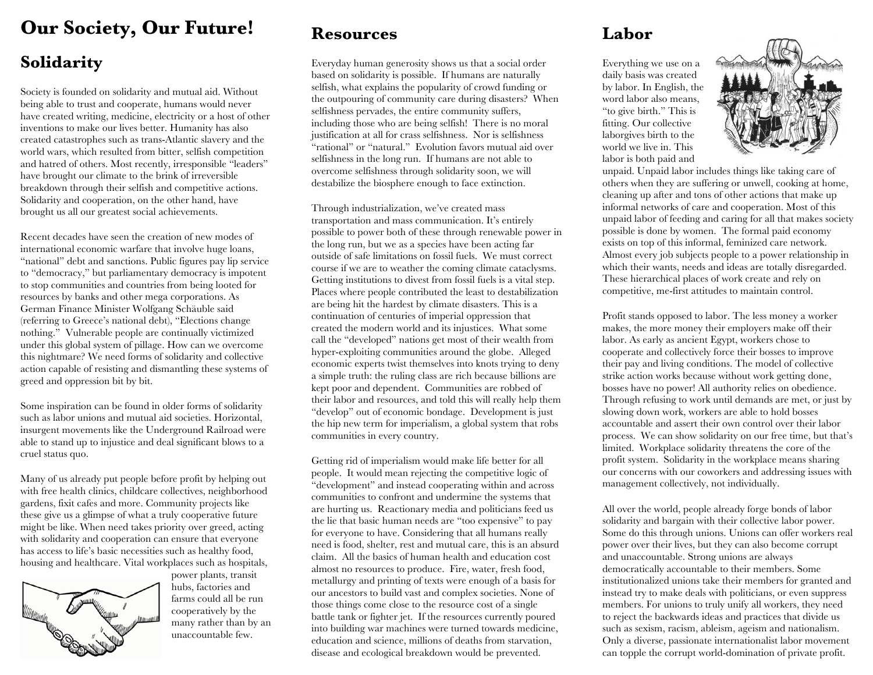# **Our Society, Our Future! Solidarity**

Society is founded on solidarity and mutual aid. Without being able to trust and cooperate, humans would never have created writing, medicine, electricity or a host of other inventions to make our lives better. Humanity has also created catastrophes such as trans-Atlantic slavery and the world wars, which resulted from bitter, selfish competition and hatred of others. Most recently, irresponsible "leaders" have brought our climate to the brink of irreversible breakdown through their selfish and competitive actions. Solidarity and cooperation, on the other hand, have brought us all our greatest social achievements.

Recent decades have seen the creation of new modes of international economic warfare that involve huge loans, "national" debt and sanctions. Public figures pay lip service to "democracy," but parliamentary democracy is impotent to stop communities and countries from being looted for resources by banks and other mega corporations. As German Finance Minister Wolfgang Schäuble said (referring to Greece's national debt), "Elections change nothing." Vulnerable people are continually victimized under this global system of pillage. How can we overcome this nightmare? We need forms of solidarity and collective action capable of resisting and dismantling these systems of greed and oppression bit by bit.

Some inspiration can be found in older forms of solidarity such as labor unions and mutual aid societies. Horizontal, insurgent movements like the Underground Railroad were able to stand up to injustice and deal significant blows to a cruel status quo.

Many of us already put people before profit by helping out with free health clinics, childcare collectives, neighborhood gardens, fixit cafes and more. Community projects like these give us a glimpse of what a truly cooperative future might be like. When need takes priority over greed, acting with solidarity and cooperation can ensure that everyone has access to life's basic necessities such as healthy food, housing and healthcare. Vital workplaces such as hospitals,



power plants, transit hubs, factories and farms could all be run cooperatively by the many rather than by an unaccountable few.

### **Resources**

Everyday human generosity shows us that a social order based on solidarity is possible. If humans are naturally selfish, what explains the popularity of crowd funding or the outpouring of community care during disasters? When selfishness pervades, the entire community suffers, including those who are being selfish! There is no moral justification at all for crass selfishness. Nor is selfishness "rational" or "natural." Evolution favors mutual aid over selfishness in the long run. If humans are not able to overcome selfishness through solidarity soon, we will destabilize the biosphere enough to face extinction.

Through industrialization, we've created mass transportation and mass communication. It's entirely possible to power both of these through renewable power in the long run, but we as a species have been acting far outside of safe limitations on fossil fuels. We must correct course if we are to weather the coming climate cataclysms. Getting institutions to divest from fossil fuels is a vital step. Places where people contributed the least to destabilization are being hit the hardest by climate disasters. This is a continuation of centuries of imperial oppression that created the modern world and its injustices. What some call the "developed" nations get most of their wealth from hyper-exploiting communities around the globe. Alleged economic experts twist themselves into knots trying to deny a simple truth: the ruling class are rich because billions are kept poor and dependent. Communities are robbed of their labor and resources, and told this will really help them "develop" out of economic bondage. Development is just the hip new term for imperialism, a global system that robs communities in every country.

Getting rid of imperialism would make life better for all people. It would mean rejecting the competitive logic of "development" and instead cooperating within and across communities to confront and undermine the systems that are hurting us. Reactionary media and politicians feed us the lie that basic human needs are "too expensive" to pay for everyone to have. Considering that all humans really need is food, shelter, rest and mutual care, this is an absurd claim. All the basics of human health and education cost almost no resources to produce. Fire, water, fresh food, metallurgy and printing of texts were enough of a basis for our ancestors to build vast and complex societies. None of those things come close to the resource cost of a single battle tank or fighter jet. If the resources currently poured into building war machines were turned towards medicine, education and science, millions of deaths from starvation, disease and ecological breakdown would be prevented.

# **Labor**

Everything we use on a daily basis was created by labor. In English, the word labor also means, "to give birth." This is fitting. Our collective laborgives birth to the world we live in. This labor is both paid and



unpaid. Unpaid labor includes things like taking care of others when they are suffering or unwell, cooking at home, cleaning up after and tons of other actions that make up informal networks of care and cooperation. Most of this unpaid labor of feeding and caring for all that makes society possible is done by women. The formal paid economy exists on top of this informal, feminized care network. Almost every job subjects people to a power relationship in which their wants, needs and ideas are totally disregarded. These hierarchical places of work create and rely on competitive, me-first attitudes to maintain control.

Profit stands opposed to labor. The less money a worker makes, the more money their employers make off their labor. As early as ancient Egypt, workers chose to cooperate and collectively force their bosses to improve their pay and living conditions. The model of collective strike action works because without work getting done, bosses have no power! All authority relies on obedience. Through refusing to work until demands are met, or just by slowing down work, workers are able to hold bosses accountable and assert their own control over their labor process. We can show solidarity on our free time, but that's limited. Workplace solidarity threatens the core of the profit system. Solidarity in the workplace means sharing our concerns with our coworkers and addressing issues with management collectively, not individually.

All over the world, people already forge bonds of labor solidarity and bargain with their collective labor power. Some do this through unions. Unions can offer workers real power over their lives, but they can also become corrupt and unaccountable. Strong unions are always democratically accountable to their members. Some institutionalized unions take their members for granted and instead try to make deals with politicians, or even suppress members. For unions to truly unify all workers, they need to reject the backwards ideas and practices that divide us such as sexism, racism, ableism, ageism and nationalism. Only a diverse, passionate internationalist labor movement can topple the corrupt world-domination of private profit.